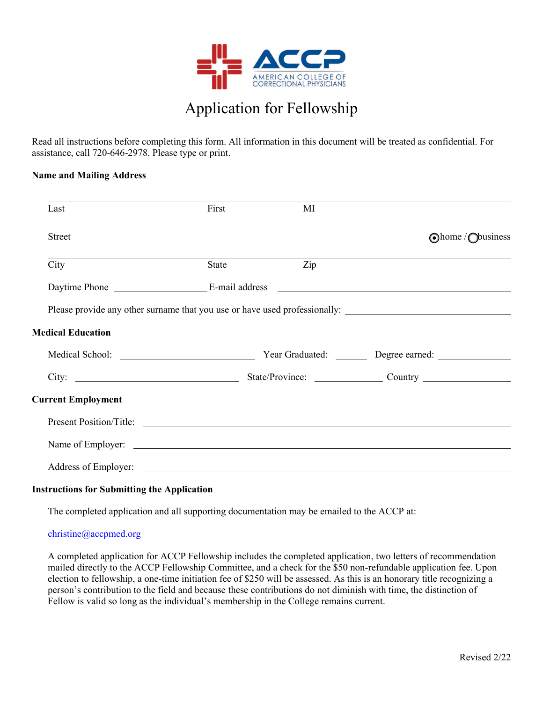

# Application for Fellowship

Read all instructions before completing this form. All information in this document will be treated as confidential. For assistance, call 720-646-2978. Please type or print.

#### **Name and Mailing Address**

| Last                                                                                                                                                                                                                                 | First | МI  |                                                        |
|--------------------------------------------------------------------------------------------------------------------------------------------------------------------------------------------------------------------------------------|-------|-----|--------------------------------------------------------|
| <b>Street</b>                                                                                                                                                                                                                        |       |     | Ohome / Obusiness                                      |
| City                                                                                                                                                                                                                                 | State | Zip |                                                        |
|                                                                                                                                                                                                                                      |       |     |                                                        |
|                                                                                                                                                                                                                                      |       |     |                                                        |
| <b>Medical Education</b>                                                                                                                                                                                                             |       |     |                                                        |
|                                                                                                                                                                                                                                      |       |     | Year Graduated: ________ Degree earned: ______________ |
| City:                                                                                                                                                                                                                                |       |     |                                                        |
| <b>Current Employment</b>                                                                                                                                                                                                            |       |     |                                                        |
|                                                                                                                                                                                                                                      |       |     |                                                        |
|                                                                                                                                                                                                                                      |       |     |                                                        |
| Address of Employer: <u>contract the contract of the contract of the contract of the contract of the contract of the contract of the contract of the contract of the contract of the contract of the contract of the contract of</u> |       |     |                                                        |

#### **Instructions for Submitting the Application**

The completed application and all supporting documentation may be emailed to the ACCP at:

#### christine@accpmed.org

A completed application for ACCP Fellowship includes the completed application, two letters of recommendation mailed directly to the ACCP Fellowship Committee, and a check for the \$50 non-refundable application fee. Upon election to fellowship, a one-time initiation fee of \$250 will be assessed. As this is an honorary title recognizing a person's contribution to the field and because these contributions do not diminish with time, the distinction of Fellow is valid so long as the individual's membership in the College remains current.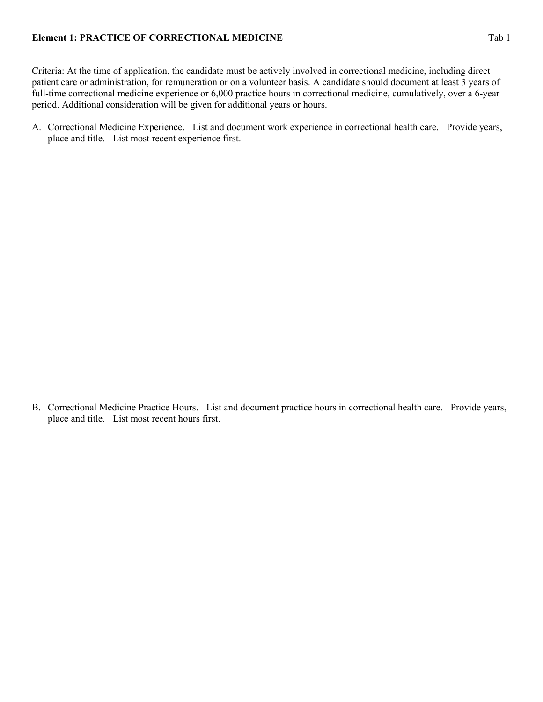#### **Element 1: PRACTICE OF CORRECTIONAL MEDICINE** Tab 1

Criteria: At the time of application, the candidate must be actively involved in correctional medicine, including direct patient care or administration, for remuneration or on a volunteer basis. A candidate should document at least 3 years of full-time correctional medicine experience or 6,000 practice hours in correctional medicine, cumulatively, over a 6-year period. Additional consideration will be given for additional years or hours.

A. Correctional Medicine Experience. List and document work experience in correctional health care. Provide years, place and title. List most recent experience first.

B. Correctional Medicine Practice Hours. List and document practice hours in correctional health care. Provide years, place and title. List most recent hours first.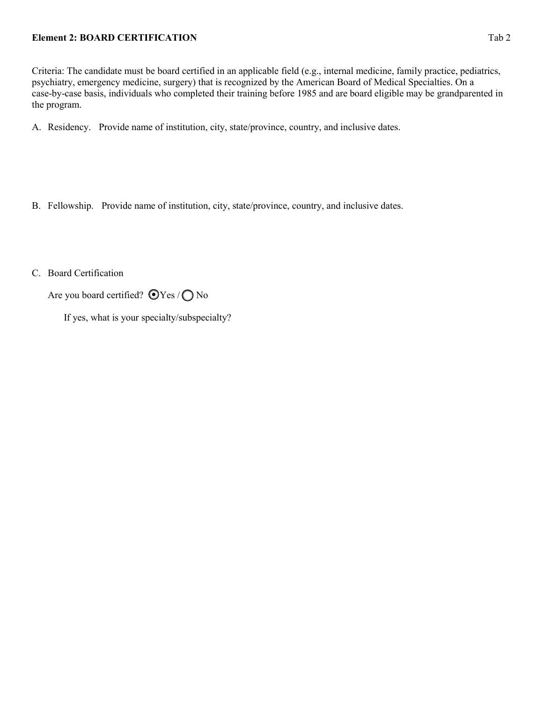### **Element 2: BOARD CERTIFICATION** Tab 2

Criteria: The candidate must be board certified in an applicable field (e.g., internal medicine, family practice, pediatrics, psychiatry, emergency medicine, surgery) that is recognized by the American Board of Medical Specialties. On a case-by-case basis, individuals who completed their training before 1985 and are board eligible may be grandparented in the program.

A. Residency. Provide name of institution, city, state/province, country, and inclusive dates.

- B. Fellowship. Provide name of institution, city, state/province, country, and inclusive dates.
- C. Board Certification

Are you board certified?  $\bigcirc$  Yes /  $\bigcirc$  No

If yes, what is your specialty/subspecialty?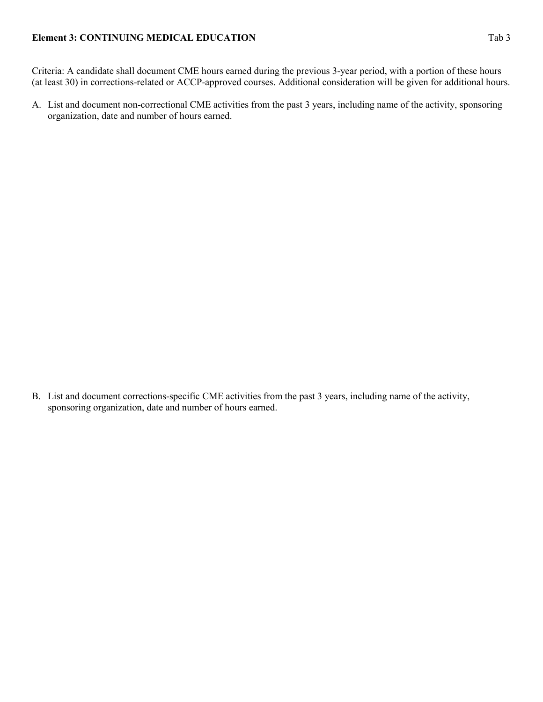### **Element 3: CONTINUING MEDICAL EDUCATION** Tab 3

Criteria: A candidate shall document CME hours earned during the previous 3-year period, with a portion of these hours (at least 30) in corrections-related or ACCP-approved courses. Additional consideration will be given for additional hours.

A. List and document non-correctional CME activities from the past 3 years, including name of the activity, sponsoring organization, date and number of hours earned.

B. List and document corrections-specific CME activities from the past 3 years, including name of the activity, sponsoring organization, date and number of hours earned.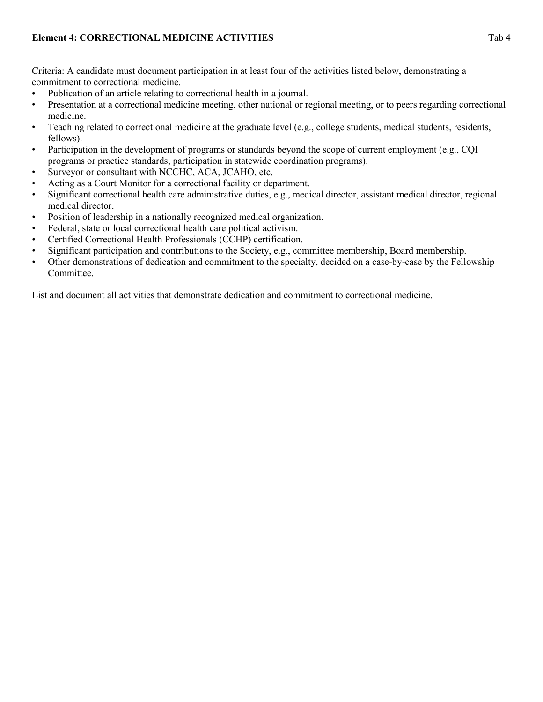Criteria: A candidate must document participation in at least four of the activities listed below, demonstrating a commitment to correctional medicine.

- Publication of an article relating to correctional health in a journal.
- Presentation at a correctional medicine meeting, other national or regional meeting, or to peers regarding correctional medicine.
- Teaching related to correctional medicine at the graduate level (e.g., college students, medical students, residents, fellows).
- Participation in the development of programs or standards beyond the scope of current employment (e.g., CQI programs or practice standards, participation in statewide coordination programs).
- Surveyor or consultant with NCCHC, ACA, JCAHO, etc.
- Acting as a Court Monitor for a correctional facility or department.
- Significant correctional health care administrative duties, e.g., medical director, assistant medical director, regional medical director.
- Position of leadership in a nationally recognized medical organization.
- Federal, state or local correctional health care political activism.
- Certified Correctional Health Professionals (CCHP) certification.
- Significant participation and contributions to the Society, e.g., committee membership, Board membership.
- Other demonstrations of dedication and commitment to the specialty, decided on a case-by-case by the Fellowship Committee.

List and document all activities that demonstrate dedication and commitment to correctional medicine.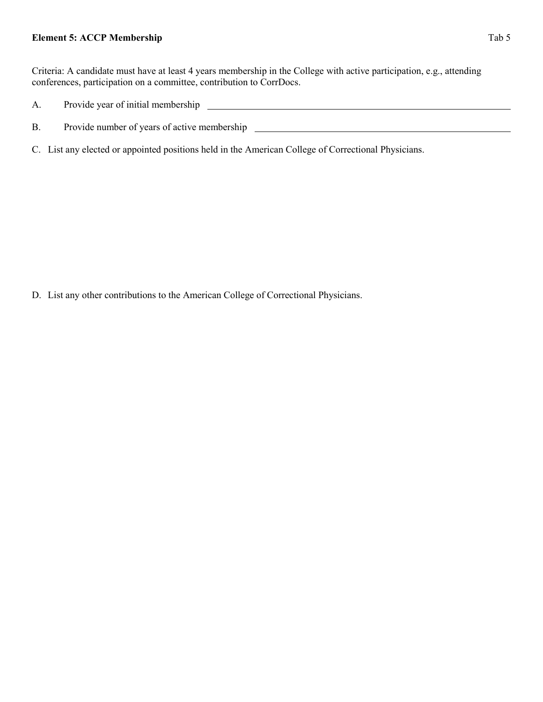#### **Element 5: ACCP Membership** Tab 5

Criteria: A candidate must have at least 4 years membership in the College with active participation, e.g., attending conferences, participation on a committee, contribution to CorrDocs.

- A. Provide year of initial membership
- B. Provide number of years of active membership \_\_\_\_\_\_\_\_\_\_\_\_\_\_\_\_\_\_\_\_\_\_\_\_\_\_\_\_\_\_\_\_\_
- C. List any elected or appointed positions held in the American College of Correctional Physicians.

D. List any other contributions to the American College of Correctional Physicians.